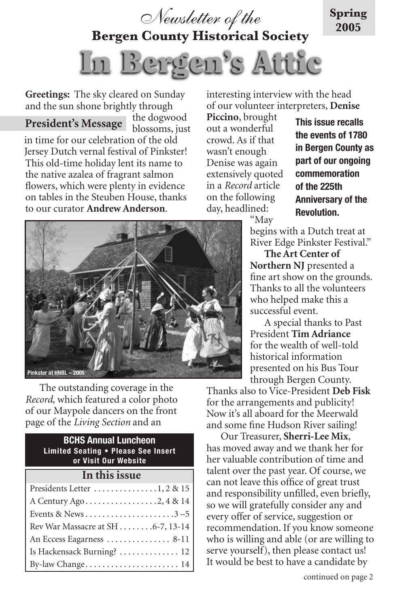

**Bergen County Historical Society**



**Greetings:** The sky cleared on Sunday and the sun shone brightly through

the dogwood blossoms, just in time for our celebration of the old Jersey Dutch vernal festival of Pinkster! This old-time holiday lent its name to the native azalea of fragrant salmon flowers, which were plenty in evidence on tables in the Steuben House, thanks to our curator **Andrew Anderson**. **President's Message**

interesting interview with the head of our volunteer interpreters, **Denise** 

**Piccino**, brought out a wonderful crowd. As if that wasn't enough Denise was again extensively quoted in a *Record* article on the following day, headlined:

**This issue recalls the events of 1780 in Bergen County as part of our ongoing commemoration of the 225th Anniversary of the Revolution.** 

**Spring 2005**

"May

begins with a Dutch treat at River Edge Pinkster Festival."

**The Art Center of Northern NJ** presented a fine art show on the grounds. Thanks to all the volunteers who helped make this a successful event.

A special thanks to Past President **Tim Adriance** for the wealth of well-told historical information presented on his Bus Tour through Bergen County.

Thanks also to Vice-President **Deb Fisk** for the arrangements and publicity! Now it's all aboard for the Meerwald and some fine Hudson River sailing!

Our Treasurer, **Sherri-Lee Mix**, has moved away and we thank her for her valuable contribution of time and talent over the past year. Of course, we can not leave this office of great trust and responsibility unfilled, even briefly, so we will gratefully consider any and every offer of service, suggestion or recommendation. If you know someone who is willing and able (or are willing to serve yourself), then please contact us! It would be best to have a candidate by



The outstanding coverage in the *Record,* which featured a color photo of our Maypole dancers on the front page of the *Living Section* and an

## **BCHS Annual Luncheon Limited Seating • Please See Insert or Visit Our Website In this issue** Presidents Letter . . . . . . . . . . . . . . .1, 2 & 15 A Century Ago . . . . . . . . . . . . . . . . .2, 4 & 14 Events & News . . . . . . . . . . . . . . . . . . . . .3 –5 Rev War Massacre at SH . . . . . . . .6-7, 13-14 An Eccess Eagarness . . . . . . . . . . . . . . 8-11 Is Hackensack Burning? . . . . . . . . . . . . . . 12 By-law Change . . . . . . . . . . . . . . . . . . . . . . 14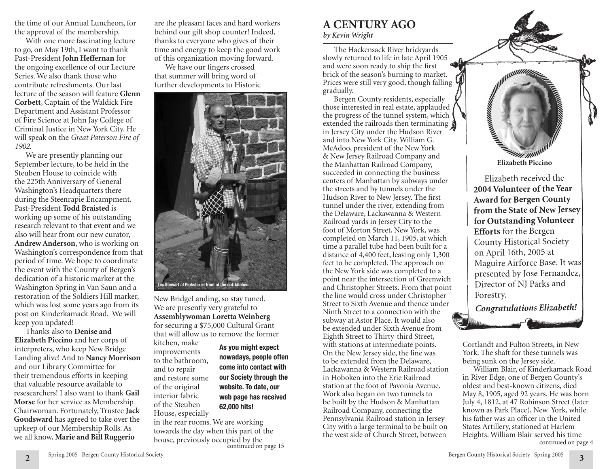the time of our Annual Luncheon, for the approval of the membership.

With one more fascinating lecture to go, on May 19th, I want to thank Past-President **John Heffernan** for the ongoing excellence of our Lecture Series. We also thank those who contribute refreshments. Our last lecture of the season will feature **Glenn Corbett**, Captain of the Waldick Fire Department and Assistant Professor of Fire Science at John Jay College of Criminal Justice in New York City. He will speak on the *Great Paterson Fire of 1902*.

We are presently planning our September lecture, to be held in the Steuben House to coincide with the 225th Anniversary of General Washington's Headquarters there during the Steenrapie Encampment. Past-President **Todd Braisted** is working up some of his outstanding research relevant to that event and we also will hear from our new curator, **Andrew Anderson**, who is working on Washington's correspondence from that period of time. We hope to coordinate the event with the County of Bergen's dedication of a historic marker at the Washington Spring in Van Saun and a restoration of the Soldiers Hill marker, which was lost some years ago from its post on Kinderkamack Road. We will keep you updated!

Thanks also to **Denise and Elizabeth Piccino** and her corps of interpreters, who keep New Bridge Landing alive! And to **Nancy Morrison** and our Library Committee for their tremendous efforts in keeping that valuable resource available to resesearchers! I also want to thank **Gail Morse** for her service as Membership Chairwoman. Fortunately, Trustee **Jack Goudsward** has agreed to take over the upkeep of our Membership Rolls. As we all know, **Marie and Bill Ruggerio**

are the pleasant faces and hard workers behind our gift shop counter! Indeed, thanks to everyone who gives of their time and energy to keep the good work of this organization moving forward.

We have our fingers crossed that summer will bring word of further developments to Historic



New BridgeLanding, so stay tuned. We are presently very grateful to **Assemblywoman Loretta Weinberg** for securing a \$75,000 Cultural Grant that will allow us to remove the former

kitchen, make improvements to the bathroom, and to repair and restore some of the original interior fabric of the Steuben House, especially

**As you might expect nowadays, people often come into contact with our Society through the website. To date, our web page has received 62,000 hits!**

in the rear rooms. We are working towards the day when this part of the house, previously occupied by the continued on page 15

# **A CENTURY AGO** *by Kevin Wright*

The Hackensack River brickyards slowly returned to life in late April 1905 and were soon ready to ship the first brick of the season's burning to market. Prices were still very good, though falling gradually.

Bergen County residents, especially those interested in real estate, applauded the progress of the tunnel system, which extended the railroads then terminating in Jersey City under the Hudson River and into New York City. William G. McAdoo, president of the New York & New Jersey Railroad Company and the Manhattan Railroad Company, succeeded in connecting the business centers of Manhattan by subways under the streets and by tunnels under the Hudson River to New Jersey. The first tunnel under the river, extending from the Delaware, Lackawanna & Western Railroad yards in Jersey City to the foot of Morton Street, New York, was completed on March 11, 1905, at which time a parallel tube had been built for a distance of 4,400 feet, leaving only 1,300 feet to be completed. The approach on the New York side was completed to a point near the intersection of Greenwich and Christopher Streets. From that point the line would cross under Christopher Street to Sixth Avenue and thence under Ninth Street to a connection with the subway at Astor Place. It would also be extended under Sixth Avenue from Eighth Street to Thirty-third Street, with stations at intermediate points. On the New Jersey side, the line was to be extended from the Delaware, Lackawanna & Western Railroad station in Hoboken into the Erie Railroad station at the foot of Pavonia Avenue. Work also began on two tunnels to be built by the Hudson & Manhattan Railroad Company, connecting the Pennsylvania Railroad station in Jersey City with a large terminal to be built on the west side of Church Street, between

**Elizabeth Piccino**<br>Elizabeth Piccino

Elizabeth received the **2004 Volunteer of the Year Award for Bergen County from the State of New Jersey for Outstanding Volunteer Efforts** for the Bergen County Historical Society on April 16th, 2005 at Maguire Airforce Base. It was presented by Jose Fernandez, Director of NJ Parks and Forestry.



Cortlandt and Fulton Streets, in New York. The shaft for these tunnels was being sunk on the Jersey side.

William Blair, of Kinderkamack Road in River Edge, one of Bergen County's oldest and best-known citizens, died May 8, 1905, aged 92 years. He was born July 4, 1812, at 47 Robinson Street (later known as Park Place), New York, while his father was an officer in the United States Artillery, stationed at Harlem Heights. William Blair served his time continued on page 4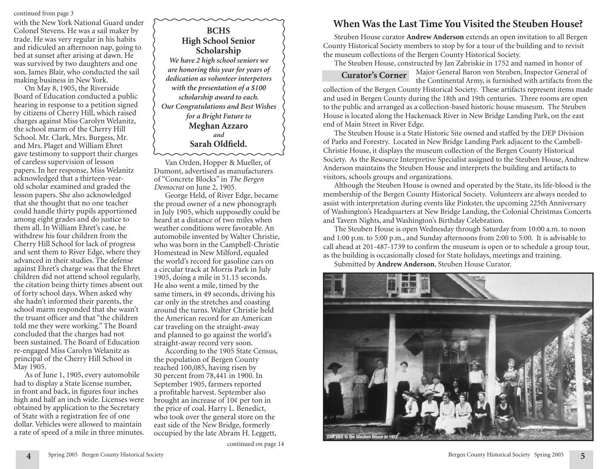continued from page 3

with the New York National Guard under Colonel Stevens. He was a sail maker by trade. He was very regular in his habits and ridiculed an afternoon nap, going to bed at sunset after arising at dawn. He was survived by two daughters and one son, James Blair, who conducted the sail making business in New York.

On May 8, 1905, the Riverside Board of Education conducted a public hearing in response to a petition signed by citizens of Cherry Hill, which raised charges against Miss Carolyn Welanitz, the school marm of the Cherry Hill School. Mr. Clark, Mrs. Burgess, Mr. and Mrs. Plaget and William Ehret gave testimony to support their charges of careless supervision of lesson papers. In her response, Miss Welanitz acknowledged that a thirteen-yearold scholar examined and graded the lesson papers. She also acknowledged that she thought that no one teacher could handle thirty pupils apportioned among eight grades and do justice to them all. In William Ehret's case, he withdrew his four children from the Cherry Hill School for lack of progress and sent them to River Edge, where they advanced in their studies. The defense against Ehret's charge was that the Ehret children did not attend school regularly, the citation being thirty times absent out of forty school days. When asked why she hadn't informed their parents, the school marm responded that she wasn't the truant officer and that "the children told me they were working." The Board concluded that the charges had not been sustained. The Board of Education re-engaged Miss Carolyn Welanitz as principal of the Cherry Hill School in May 1905.

As of June 1, 1905, every automobile had to display a State license number, in front and back, in figures four inches high and half an inch wide. Licenses were obtained by application to the Secretary of State with a registration fee of one dollar. Vehicles were allowed to maintain a rate of speed of a mile in three minutes.

**BCHS High School Senior Scholarship** *We have 2 high school seniors we are honoring this year for years of dedication as volunteer interpetors with the presentation of a \$100 scholarship award to each. Our Congratulations and Best Wishes for a Bright Future to* **Meghan Azzaro** *and* **Sarah Oldfield.**

Van Orden, Hopper & Mueller, of Dumont, advertised as manufacturers of "Concrete Blocks" in *The Bergen Democrat* on June 2, 1905.

George Held, of River Edge, became the proud owner of a new phonograph in July 1905, which supposedly could be heard at a distance of two miles when weather conditions were favorable. An automobile invented by Walter Christie, who was born in the Campbell-Christie Homestead in New Milford, equaled the world's record for gasoline cars on a circular track at Morris Park in July 1905, doing a mile in 51.15 seconds. He also went a mile, timed by the same timers, in 49 seconds, driving his car only in the stretches and coasting around the turns. Walter Christie held the American record for an American car traveling on the straight-away and planned to go against the world's straight-away record very soon.

According to the 1905 State Census, the population of Bergen County reached 100,085, having risen by 30 percent from 78,441 in 1900. In September 1905, farmers reported a profitable harvest. September also brought an increase of 10¢ per ton in the price of coal. Harry L. Benedict, who took over the general store on the east side of the New Bridge, formerly occupied by the late Abram H. Leggett,

# **When Was the Last Time You Visited the Steuben House?**

Steuben House curator **Andrew Anderson** extends an open invitation to all Bergen County Historical Society members to stop by for a tour of the building and to revisit the museum collections of the Bergen County Historical Society.

The Steuben House, constructed by Jan Zabriskie in 1752 and named in honor of

**Curator's Corner**

Major General Baron von Steuben, Inspector General of the Continental Army, is furnished with artifacts from the

collection of the Bergen County Historical Society. These artifacts represent items made and used in Bergen County during the 18th and 19th centuries. Three rooms are open to the public and arranged as a collection-based historic house museum. The Steuben House is located along the Hackensack River in New Bridge Landing Park, on the east end of Main Street in River Edge.

The Steuben House is a State Historic Site owned and staffed by the DEP Division of Parks and Forestry. Located in New Bridge Landing Park adjacent to the Cambell-Christie House, it displays the museum collection of the Bergen County Historical Society. As the Resource Interpretive Specialist assigned to the Steuben House, Andrew Anderson maintains the Steuben House and interprets the building and artifacts to visitors, schools groups and organizations.

Although the Steuben House is owned and operated by the State, its life-blood is the membership of the Bergen County Historical Society. Volunteers are always needed to assist with interpretation during events like Pinkster, the upcoming 225th Anniversary of Washington's Headquarters at New Bridge Landing, the Colonial Christmas Concerts and Tavern Nights, and Washington's Birthday Celebration.

The Steuben House is open Wednesday through Saturday from 10:00 a.m. to noon and 1:00 p.m. to 5:00 p.m., and Sunday afternoons from 2:00 to 5:00. It is advisable to call ahead at 201-487-1739 to confirm the museum is open or to schedule a group tour, as the building is occasionally closed for State holidays, meetings and training.

Submitted by **Andrew Anderson**, Steuben House Curator.

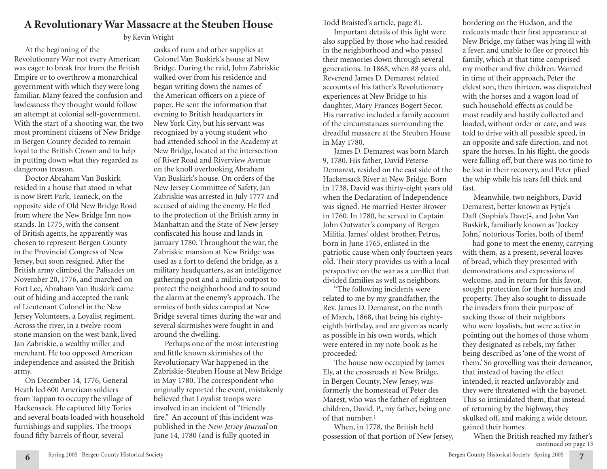# **A Revolutionary War Massacre at the Steuben House**

# by Kevin Wright

At the beginning of the Revolutionary War not every American was eager to break free from the British Empire or to overthrow a monarchical government with which they were long familiar. Many feared the confusion and lawlessness they thought would follow an attempt at colonial self-government. With the start of a shooting war, the two most prominent citizens of New Bridge in Bergen County decided to remain loyal to the British Crown and to help in putting down what they regarded as dangerous treason.

Doctor Abraham Van Buskirk resided in a house that stood in what is now Brett Park, Teaneck, on the opposite side of Old New Bridge Road from where the New Bridge Inn now stands. In 1775, with the consent of British agents, he apparently was chosen to represent Bergen County in the Provincial Congress of New Jersey, but soon resigned. After the British army climbed the Palisades on November 20, 1776, and marched on Fort Lee, Abraham Van Buskirk came out of hiding and accepted the rank of Lieutenant Colonel in the New Jersey Volunteers, a Loyalist regiment. Across the river, in a twelve-room stone mansion on the west bank, lived Jan Zabriskie, a wealthy miller and merchant. He too opposed American independence and assisted the British army.

On December 14, 1776, General Heath led 600 American soldiers from Tappan to occupy the village of Hackensack. He captured fifty Tories and several boats loaded with household furnishings and supplies. The troops found fifty barrels of flour, several

casks of rum and other supplies at Colonel Van Buskirk's house at New Bridge. During the raid, John Zabriskie walked over from his residence and began writing down the names of the American officers on a piece of paper. He sent the information that evening to British headquarters in New York City, but his servant was recognized by a young student who had attended school in the Academy at New Bridge, located at the intersection of River Road and Riverview Avenue on the knoll overlooking Abraham Van Buskirk's house. On orders of the New Jersey Committee of Safety, Jan Zabriskie was arrested in July 1777 and accused of aiding the enemy. He fled to the protection of the British army in Manhattan and the State of New Jersey confiscated his house and lands in January 1780. Throughout the war, the Zabriskie mansion at New Bridge was used as a fort to defend the bridge, as a military headquarters, as an intelligence gathering post and a militia outpost to protect the neighborhood and to sound the alarm at the enemy's approach. The armies of both sides camped at New Bridge several times during the war and several skirmishes were fought in and around the dwelling.

Perhaps one of the most interesting and little known skirmishes of the Revolutionary War happened in the Zabriskie-Steuben House at New Bridge in May 1780. The correspondent who originally reported the event, mistakenly believed that Loyalist troops were involved in an incident of "friendly fire." An account of this incident was published in the *New-Jersey Journal* on June 14, 1780 (and is fully quoted in

Todd Braisted's article, page 8).

Important details of this fight were also supplied by those who had resided in the neighborhood and who passed their memories down through several generations. In 1868, when 88 years old, Reverend James D. Demarest related accounts of his father's Revolutionary experiences at New Bridge to his daughter, Mary Frances Bogert Secor. His narrative included a family account of the circumstances surrounding the dreadful massacre at the Steuben House in May 1780.

James D. Demarest was born March 9, 1780. His father, David Peterse Demarest, resided on the east side of the Hackensack River at New Bridge. Born in 1738, David was thirty-eight years old when the Declaration of Independence was signed. He married Hester Brower in 1760. In 1780, he served in Captain John Outwater's company of Bergen Militia. James' oldest brother, Petrus, born in June 1765, enlisted in the patriotic cause when only fourteen years old. Their story provides us with a local perspective on the war as a conflict that divided families as well as neighbors.

"The following incidents were related to me by my grandfather, the Rev. James D. Demarest, on the ninth of March, 1868, that being his eightyeighth birthday, and are given as nearly as possible in his own words, which were entered in my note-book as he proceeded:

The house now occupied by James Ely, at the crossroads at New Bridge, in Bergen County, New Jersey, was formerly the homestead of Peter des Marest, who was the father of eighteen children, David. P., my father, being one of that number.1

When, in 1778, the British held possession of that portion of New Jersey,

bordering on the Hudson, and the redcoats made their first appearance at New Bridge, my father was lying ill with a fever, and unable to flee or protect his family, which at that time comprised my mother and five children. Warned in time of their approach, Peter the eldest son, then thirteen, was dispatched with the horses and a wagon load of such household effects as could be most readily and hastily collected and loaded, without order or care, and was told to drive with all possible speed, in an opposite and safe direction, and not spare the horses. In his flight, the goods were falling off, but there was no time to be lost in their recovery, and Peter plied the whip while his tears fell thick and fast.

Meanwhile, two neighbors, David Demarest, better known as Fytje's Daff (Sophia's Dave)2, and John Van Buskirk, familiarly known as 'Jockey John,' notorious Tories, both of them! — had gone to meet the enemy, carrying with them, as a present, several loaves of bread, which they presented with demonstrations and expressions of welcome, and in return for this favor, sought protection for their homes and property. They also sought to dissuade the invaders from their purpose of sacking those of their neighbors who were loyalists, but were active in pointing out the homes of those whom they designated as rebels, my father being described as 'one of the worst of them.' So grovelling was their demeanor, that instead of having the effect intended, it reacted unfavorably and they were threatened with the bayonet. This so intimidated them, that instead of returning by the highway, they skulked off, and making a wide detour, gained their homes.

When the British reached my father's continued on page 13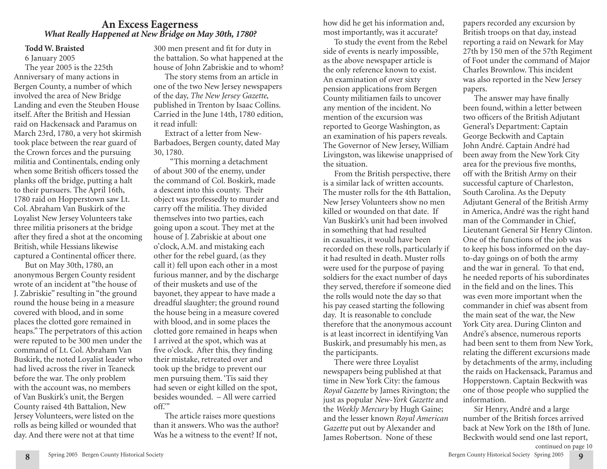# **An Excess Eagerness** *What Really Happened at New Bridge on May 30th, 1780?*

### **Todd W. Braisted**

6 January 2005 The year 2005 is the 225th Anniversary of many actions in Bergen County, a number of which involved the area of New Bridge Landing and even the Steuben House itself. After the British and Hessian raid on Hackensack and Paramus on March 23rd, 1780, a very hot skirmish took place between the rear guard of the Crown forces and the pursuing militia and Continentals, ending only when some British officers tossed the planks off the bridge, putting a halt to their pursuers. The April 16th, 1780 raid on Hopperstown saw Lt. Col. Abraham Van Buskirk of the Loyalist New Jersey Volunteers take three militia prisoners at the bridge after they fired a shot at the oncoming British, while Hessians likewise captured a Continental officer there.

But on May 30th, 1780, an anonymous Bergen County resident wrote of an incident at "the house of J. Zabriskie" resulting in "the ground round the house being in a measure covered with blood, and in some places the clotted gore remained in heaps." The perpetrators of this action were reputed to be 300 men under the command of Lt. Col. Abraham Van Buskirk, the noted Loyalist leader who had lived across the river in Teaneck before the war. The only problem with the account was, no members of Van Buskirk's unit, the Bergen County raised 4th Battalion, New Jersey Volunteers, were listed on the rolls as being killed or wounded that day. And there were not at that time

300 men present and fit for duty in the battalion. So what happened at the house of John Zabriskie and to whom?

The story stems from an article in one of the two New Jersey newspapers of the day, *The New Jersey Gazette*, published in Trenton by Isaac Collins. Carried in the June 14th, 1780 edition, it read infull:

Extract of a letter from New-Barbadoes, Bergen county, dated May 30, 1780.

 "This morning a detachment of about 300 of the enemy, under the command of Col. Boskirk, made a descent into this county. Their object was professedly to murder and carry off the militia. They divided themselves into two parties, each going upon a scout. They met at the house of J. Zabriskie at about one o'clock, A.M. and mistaking each other for the rebel guard, (as they call it) fell upon each other in a most furious manner, and by the discharge of their muskets and use of the bayonet, they appear to have made a dreadful slaughter; the ground round the house being in a measure covered with blood, and in some places the clotted gore remained in heaps when I arrived at the spot, which was at five o'clock. After this, they finding their mistake, retreated over and took up the bridge to prevent our men pursuing them. 'Tis said they had seven or eight killed on the spot, besides wounded. – All were carried off.'"

The article raises more questions than it answers. Who was the author? Was he a witness to the event? If not,

how did he get his information and, most importantly, was it accurate?

To study the event from the Rebel side of events is nearly impossible, as the above newspaper article is the only reference known to exist. An examination of over sixty pension applications from Bergen County militiamen fails to uncover any mention of the incident. No mention of the excursion was reported to George Washington, as an examination of his papers reveals. The Governor of New Jersey, William Livingston, was likewise unapprised of the situation.

From the British perspective, there is a similar lack of written accounts. The muster rolls for the 4th Battalion, New Jersey Volunteers show no men killed or wounded on that date. If Van Buskirk's unit had been involved in something that had resulted in casualties, it would have been recorded on these rolls, particularly if it had resulted in death. Muster rolls were used for the purpose of paying soldiers for the exact number of days they served, therefore if someone died the rolls would note the day so that his pay ceased starting the following day. It is reasonable to conclude therefore that the anonymous account is at least incorrect in identifying Van Buskirk, and presumably his men, as the participants.

There were three Loyalist newspapers being published at that time in New York City: the famous *Royal Gazette* by James Rivington; the just as popular *New-York Gazette* and the *Weekly Mercury* by Hugh Gaine; and the lesser known *Royal American Gazette* put out by Alexander and James Robertson. None of these

papers recorded any excursion by British troops on that day, instead reporting a raid on Newark for May 27th by 150 men of the 57th Regiment of Foot under the command of Major Charles Brownlow. This incident was also reported in the New Jersey papers.

The answer may have finally been found, within a letter between two officers of the British Adjutant General's Department: Captain George Beckwith and Captain John André. Captain André had been away from the New York City area for the previous five months, off with the British Army on their successful capture of Charleston, South Carolina. As the Deputy Adjutant General of the British Army in America, André was the right hand man of the Commander in Chief, Lieutenant General Sir Henry Clinton. One of the functions of the job was to keep his boss informed on the dayto-day goings on of both the army and the war in general. To that end, he needed reports of his subordinates in the field and on the lines. This was even more important when the commander in chief was absent from the main seat of the war, the New York City area. During Clinton and André's absence, numerous reports had been sent to them from New York, relating the different excursions made by detachments of the army, including the raids on Hackensack, Paramus and Hopperstown. Captain Beckwith was one of those people who supplied the information.

Sir Henry, André and a large number of the British forces arrived back at New York on the 18th of June. Beckwith would send one last report, continued on page 10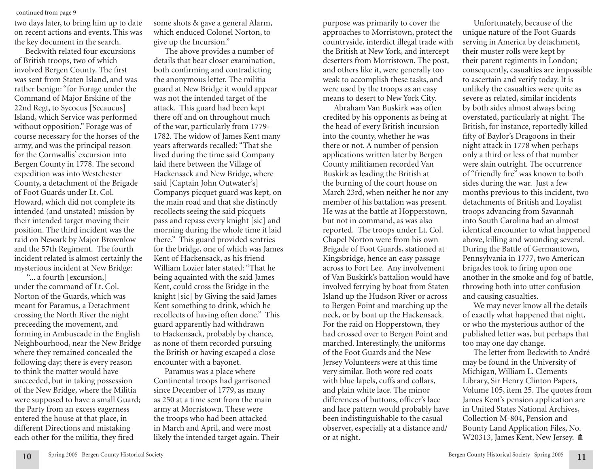#### continued from page 9

two days later, to bring him up to date on recent actions and events. This was the key document in the search.

Beckwith related four excursions of British troops, two of which involved Bergen County. The first was sent from Staten Island, and was rather benign: "for Forage under the Command of Major Erskine of the 22nd Regt, to Sycocus [Secaucus] Island, which Service was performed without opposition." Forage was of course necessary for the horses of the army, and was the principal reason for the Cornwallis' excursion into Bergen County in 1778. The second expedition was into Westchester County, a detachment of the Brigade of Foot Guards under Lt. Col. Howard, which did not complete its intended (and unstated) mission by their intended target moving their position. The third incident was the raid on Newark by Major Brownlow and the 57th Regiment. The fourth incident related is almost certainly the mysterious incident at New Bridge:

"... a fourth [excursion,] under the command of Lt. Col. Norton of the Guards, which was meant for Paramus, a Detachment crossing the North River the night preceeding the movement, and forming in Ambuscade in the English Neighbourhood, near the New Bridge where they remained concealed the following day; there is every reason to think the matter would have succeeded, but in taking possession of the New Bridge, where the Militia were supposed to have a small Guard; the Party from an excess eagerness entered the house at that place, in different Directions and mistaking each other for the militia, they fired

**10**

some shots & gave a general Alarm, which enduced Colonel Norton, to give up the Incursion."

The above provides a number of details that bear closer examination, both confirming and contradicting the anonymous letter. The militia guard at New Bridge it would appear was not the intended target of the attack. This guard had been kept there off and on throughout much of the war, particularly from 1779- 1782. The widow of James Kent many years afterwards recalled: "That she lived during the time said Company laid there between the Village of Hackensack and New Bridge, where said [Captain John Outwater's] Companys picquet guard was kept, on the main road and that she distinctly recollects seeing the said picquets pass and repass every knight [sic] and morning during the whole time it laid there." This guard provided sentries for the bridge, one of which was James Kent of Hackensack, as his friend William Lozier later stated: "That he being aquainted with the said James Kent, could cross the Bridge in the knight [sic] by Giving the said James Kent something to drink, which he recollects of having often done." This guard apparently had withdrawn to Hackensack, probably by chance, as none of them recorded pursuing the British or having escaped a close encounter with a bayonet.

Paramus was a place where Continental troops had garrisoned since December of 1779, as many as 250 at a time sent from the main army at Morristown. These were the troops who had been attacked in March and April, and were most likely the intended target again. Their

purpose was primarily to cover the approaches to Morristown, protect the countryside, interdict illegal trade with the British at New York, and intercept deserters from Morristown. The post, and others like it, were generally too weak to accomplish these tasks, and were used by the troops as an easy means to desert to New York City.

Abraham Van Buskirk was often credited by his opponents as being at the head of every British incursion into the county, whether he was there or not. A number of pension applications written later by Bergen County militiamen recorded Van Buskirk as leading the British at the burning of the court house on March 23rd, when neither he nor any member of his battalion was present. He was at the battle at Hopperstown, but not in command, as was also reported. The troops under Lt. Col. Chapel Norton were from his own Brigade of Foot Guards, stationed at Kingsbridge, hence an easy passage across to Fort Lee. Any involvement of Van Buskirk's battalion would have involved ferrying by boat from Staten Island up the Hudson River or across to Bergen Point and marching up the neck, or by boat up the Hackensack. For the raid on Hopperstown, they had crossed over to Bergen Point and marched. Interestingly, the uniforms of the Foot Guards and the New Jersey Volunteers were at this time very similar. Both wore red coats with blue lapels, cuffs and collars, and plain white lace. The minor differences of buttons, officer's lace and lace pattern would probably have been indistinguishable to the casual observer, especially at a distance and/ or at night.

Unfortunately, because of the unique nature of the Foot Guards serving in America by detachment, their muster rolls were kept by their parent regiments in London; consequently, casualties are impossible to ascertain and verify today. It is unlikely the casualties were quite as severe as related, similar incidents by both sides almost always being overstated, particularly at night. The British, for instance, reportedly killed fifty of Baylor's Dragoons in their night attack in 1778 when perhaps only a third or less of that number were slain outright. The occurrence of "friendly fire" was known to both sides during the war. Just a few months previous to this incident, two detachments of British and Loyalist troops advancing from Savannah into South Carolina had an almost identical encounter to what happened above, killing and wounding several. During the Battle of Germantown, Pennsylvania in 1777, two American brigades took to firing upon one another in the smoke and fog of battle, throwing both into utter confusion and causing casualties.

We may never know all the details of exactly what happened that night, or who the mysterious author of the published letter was, but perhaps that too may one day change.

The letter from Beckwith to André may be found in the University of Michigan, William L. Clements Library, Sir Henry Clinton Papers, Volume 105, item 25. The quotes from James Kent's pension application are in United States National Archives, Collection M-804, Pension and Bounty Land Application Files, No. W20313, James Kent, New Jersey.  $\hat{m}$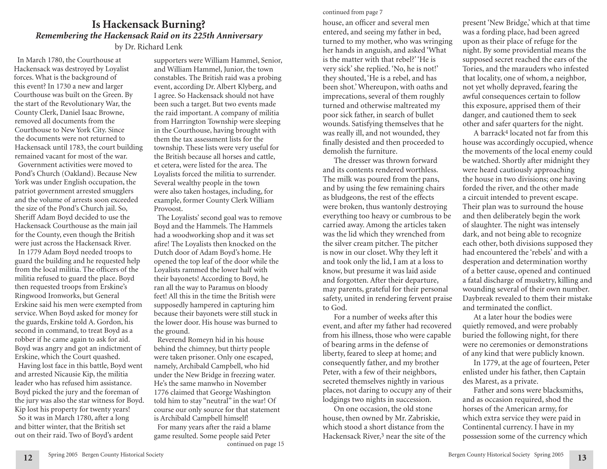# **Is Hackensack Burning?** *Remembering the Hackensack Raid on its 225th Anniversary*  by Dr. Richard Lenk

In March 1780, the Courthouse at Hackensack was destroyed by Loyalist forces. What is the background of this event? In 1730 a new and larger Courthouse was built on the Green. By the start of the Revolutionary War, the County Clerk, Daniel Isaac Browne, removed all documents from the Courthouse to New York City. Since the documents were not returned to Hackensack until 1783, the court building remained vacant for most of the war. Government activities were moved to Pond's Church (Oakland). Because New York was under English occupation, the patriot government arrested smugglers and the volume of arrests soon exceeded the size of the Pond's Church jail. So, Sheriff Adam Boyd decided to use the Hackensack Courthouse as the main jail for the County, even though the British were just across the Hackensack River. In 1779 Adam Boyd needed troops to guard the building and he requested help from the local militia. The officers of the militia refused to guard the place. Boyd then requested troops from Erskine's Ringwood Ironworks, but General Erskine said his men were exempted from service. When Boyd asked for money for the guards, Erskine told A. Gordon, his second in command, to treat Boyd as a robber if he came again to ask for aid. Boyd was angry and got an indictment of Erskine, which the Court quashed.

Having lost face in this battle, Boyd went and arrested Nicausie Kip, the militia leader who has refused him assistance. Boyd picked the jury and the foreman of the jury was also the star witness for Boyd. Kip lost his property for twenty years! So it was in March 1780, after a long and bitter winter, that the British set out on their raid. Two of Boyd's ardent

supporters were William Hammel, Senior, and William Hammel, Junior, the town constables. The British raid was a probing event, according Dr. Albert Klyberg, and I agree. So Hackensack should not have been such a target. But two events made the raid important. A company of militia from Harrington Township were sleeping in the Courthouse, having brought with them the tax assessment lists for the township. These lists were very useful for the British because all horses and cattle, et cetera, were listed for the area. The Loyalists forced the militia to surrender. Several wealthy people in the town were also taken hostages, including, for example, former County Clerk William Provoost.

The Loyalists' second goal was to remove Boyd and the Hammels. The Hammels had a woodworking shop and it was set afire! The Loyalists then knocked on the Dutch door of Adam Boyd's home. He opened the top leaf of the door while the Loyalists rammed the lower half with their bayonets! According to Boyd, he ran all the way to Paramus on bloody feet! All this in the time the British were supposedly hampered in capturing him because their bayonets were still stuck in the lower door. His house was burned to the ground.

Reverend Romeyn hid in his house behind the chimney, but thirty people were taken prisoner. Only one escaped, namely, Archibald Campbell, who hid under the New Bridge in freezing water. He's the same manwho in November 1776 claimed that George Washington told him to stay "neutral" in the war! Of course our only source for that statement is Archibald Campbell himself! For many years after the raid a blame game resulted. Some people said Peter continued on page 15

#### continued from page 7

house, an officer and several men entered, and seeing my father in bed, turned to my mother, who was wringing her hands in anguish, and asked 'What is the matter with that rebel?' 'He is very sick' she replied. 'No, he is not!' they shouted, 'He is a rebel, and has been shot.' Whereupon, with oaths and imprecations, several of them roughly turned and otherwise maltreated my poor sick father, in search of bullet wounds. Satisfying themselves that he was really ill, and not wounded, they finally desisted and then proceeded to demolish the furniture.

The dresser was thrown forward and its contents rendered worthless. The milk was poured from the pans, and by using the few remaining chairs as bludgeons, the rest of the effects were broken, thus wantonly destroying everything too heavy or cumbrous to be carried away. Among the articles taken was the lid which they wrenched from the silver cream pitcher. The pitcher is now in our closet. Why they left it and took only the lid, I am at a loss to know, but presume it was laid aside and forgotten. After their departure, may parents, grateful for their personal safety, united in rendering fervent praise to God.

For a number of weeks after this event, and after my father had recovered from his illness, those who were capable of bearing arms in the defense of liberty, feared to sleep at home; and consequently father, and my brother Peter, with a few of their neighbors, secreted themselves nightly in various places, not daring to occupy any of their lodgings two nights in succession.

On one occasion, the old stone house, then owned by Mr. Zabriskie, which stood a short distance from the Hackensack River,3 near the site of the

present 'New Bridge,' which at that time was a fording place, had been agreed upon as their place of refuge for the night. By some providential means the supposed secret reached the ears of the Tories, and the marauders who infested that locality, one of whom, a neighbor, not yet wholly depraved, fearing the awful consequences certain to follow this exposure, apprised them of their danger, and cautioned them to seek other and safer quarters for the night.

A barrack4 located not far from this house was accordingly occupied, whence the movements of the local enemy could be watched. Shortly after midnight they were heard cautiously approaching the house in two divisions; one having forded the river, and the other made a circuit intended to prevent escape. Their plan was to surround the house and then deliberately begin the work of slaughter. The night was intensely dark, and not being able to recognize each other, both divisions supposed they had encountered the 'rebels' and with a desperation and determination worthy of a better cause, opened and continued a fatal discharge of musketry, killing and wounding several of their own number. Daybreak revealed to them their mistake and terminated the conflict.

At a later hour the bodies were quietly removed, and were probably buried the following night, for there were no ceremonies or demonstrations of any kind that were publicly known.

In 1779, at the age of fourteen, Peter enlisted under his father, then Captain des Marest, as a private.

Father and sons were blacksmiths, and as occasion required, shod the horses of the American army, for which extra service they were paid in Continental currency. I have in my possession some of the currency which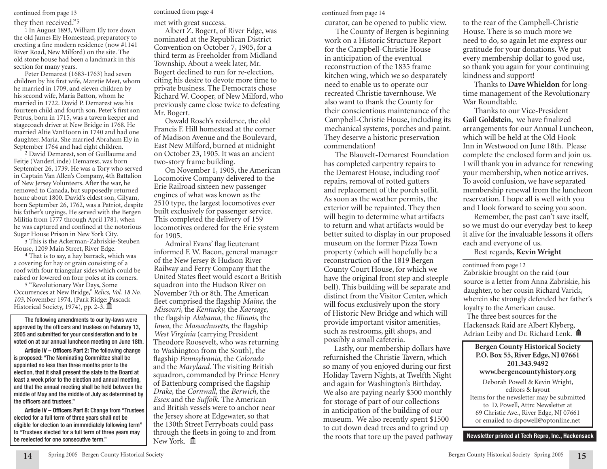#### they then received."5

1 In August 1893, William Ely tore down the old James Ely Homestead, preparatory to erecting a fine modern residence (now #1141 River Road, New Milford) on the site. The old stone house had been a landmark in this section for many years.

Peter Demarest (1683-1763) had seven children by his first wife, Maretie Meet, whom he married in 1709, and eleven children by his second wife, Maria Batton, whom he married in 1722. David P. Demarest was his fourteen child and fourth son. Peter's first son Petrus, born in 1715, was a tavern keeper and stagecoach driver at New Bridge in 1768. He married Altie VanHoorn in 1740 and had one daughter, Maria. She married Abraham Ely in September 1764 and had eight children.

2 David Demarest, son of Guillaume and Feitje (VanderLinde) Demarest, was born September 26, 1739. He was a Tory who served in Captain Van Allen's Company, 4th Battalion of New Jersey Volunteers. After the war, he removed to Canada, but supposedly returned home about 1800. David's eldest son, Gilyam, born September 26, 1762, was a Patriot, despite his father's urgings. He served with the Bergen Militia from 1777 through April 1781, when he was captured and confined at the notorious Sugar House Prison in New York City.

3 This is the Ackerman-Zabriskie-Steuben House, 1209 Main Street, River Edge.

4 That is to say, a hay barrack, which was a covering for hay or grain consisting of a roof with four triangular sides which could be raised or lowered on four poles at its corners.

5 "Revolutionary War Days, Some Occurrences at New Bridge," *Relics, Vol. 18 No. 103,* November 1974, (Park Ridge: Pascack Historical Society, 1974), pp. 2-3.  $\overline{\mathbb{m}}$ 

The following amendments to our by-laws were approved by the officers and trustees on Feburary 13, 2005 and submitted for your consideration and to be voted on at our annual luncheon meeting on June 18th.

**Article IV – Officers Part 2:** The following change is proposed: "The Nominating Committee shall be appointed no less than three months prior to the election, that it shall present the slate to the Board at least a week prior to the election and annual meeting, and that the annual meeting shall be held between the middle of May and the middle of July as determined by the officers and trustees."

**Article IV – Officers Part 8:** Change from "Trustees elected for a full term of three years shall not be eligible for election to an immmdiately following term" to "Trustees elected for a full term of three years may be reelected for one consecutive term."

continued from page 13 continued from page 4

met with great success.

Albert Z. Bogert, of River Edge, was nominated at the Republican District Convention on October 7, 1905, for a third term as Freeholder from Midland Township. About a week later, Mr. Bogert declined to run for re-election, citing his desire to devote more time to private business. The Democrats chose Richard W. Cooper, of New Milford, who previously came close twice to defeating Mr. Bogert.

Oswald Rosch's residence, the old Francis F. Hill homestead at the corner of Madison Avenue and the Boulevard, East New Milford, burned at midnight on October 23, 1905. It was an ancient two-story frame building.

On November 1, 1905, the American Locomotive Company delivered to the Erie Railroad sixteen new passenger engines of what was known as the 2510 type, the largest locomotives ever built exclusively for passenger service. This completed the delivery of 159 locomotives ordered for the Erie system for 1905.

Admiral Evans' flag lieutenant informed F. W. Bacon, general manager of the New Jersey & Hudson River Railway and Ferry Company that the United States fleet would escort a British squadron into the Hudson River on November 7th or 8th. The American fleet comprised the flagship *Maine,* the *Missouri,* the *Kentucky,* the *Kaersage,* the flagship *Alabama,* the *Illinois,* the *Iowa,* the *Massachusetts,* the flagship *West Virginia* (carrying President Theodore Roosevelt, who was returning to Washington from the South), the flagship *Pennsylvania,* the *Colorado*  and the *Maryland.* The visiting British squadron, commanded by Prince Henry of Battenburg comprised the flagship *Drake,* the *Cornwall,* the *Berwich,* the *Essex* and the *Suffolk.* The American and British vessels were to anchor near the Jersey shore at Edgewater, so that the 130th Street Ferryboats could pass through the fleets in going to and from New York. **m** 

continued from page 14

curator, can be opened to public view.

The County of Bergen is beginning work on a Historic Structure Report for the Campbell-Christie House in anticipation of the eventual reconstruction of the 1835 frame kitchen wing, which we so desparately need to enable us to operate our recreated Christie tavernhouse. We also want to thank the County for their conscientious maintenance of the Campbell-Christie House, including its mechanical systems, porches and paint. They deserve a historic preservation commendation!

of Historic New Bridge and which will The Blauvelt-Demarest Foundation has completed carpentry repairs to the Demarest House, including roof repairs, removal of rotted gutters and replacement of the porch soffit. As soon as the weather permits, the exterior will be repainted. They then will begin to determine what artifacts to return and what artifacts would be better suited to display in our proposed museum on the former Pizza Town property (which will hopefully be a reconstruction of the 1819 Bergen County Court House, for which we have the original front step and steeple bell). This building will be separate and distinct from the Visitor Center, which will focus exclusively upon the story provide important visitor amenities, such as restrooms, gift shops, and possibly a small cafeteria.

Lastly, our membership dollars have refurnished the Christie Tavern, which so many of you enjoyed during our first Holiday Tavern Nights, at Twelfth Night and again for Washington's Birthday. We also are paying nearly \$500 monthly for storage of part of our collections in anticipation of the building of our museum. We also recently spent \$1500 to cut down dead trees and to grind up the roots that tore up the paved pathway **Newsletter printed at Tech Repro, Inc., Hackensack**

to the rear of the Campbell-Christie House. There is so much more we need to do, so again let me express our gratitude for your donations. We put every membership dollar to good use, so thank you again for your continuing kindness and support!

Thanks to **Dave Whieldon** for longtime management of the Revolutionary War Roundtable.

Thanks to our Vice-President **Gail Goldstein**, we have finalized arrangements for our Annual Luncheon, which will be held at the Old Hook Inn in Westwood on June 18th. Please complete the enclosed form and join us. I will thank you in advance for renewing your membership, when notice arrives. To avoid confusion, we have separated membership renewal from the luncheon reservation. I hope all is well with you and I look forward to seeing you soon.

Remember, the past can't save itself, so we must do our everyday best to keep it alive for the invaluable lessons it offers each and everyone of us.

Best regards, **Kevin Wright**

Zabriskie brought on the raid (our source is a letter from Anna Zabriskie, his daughter, to her cousin Richard Varick, wherein she strongly defended her father's loyalty to the American cause. continued from page 12

The three best sources for the Hackensack Raid are Albert Klyberg, Adrian Leiby and Dr. Richard Lenk. m

**Bergen County Historical Society P.O. Box 55, River Edge, NJ 07661 201.343.9492 www.bergencountyhistory.org** Deborah Powell & Kevin Wright, editors & layout Items for the newsletter may be submitted to D. Powell, Attn: Newsletter at 69 Christie Ave., River Edge, NJ 07661 or emailed to dspowell@optonline.net